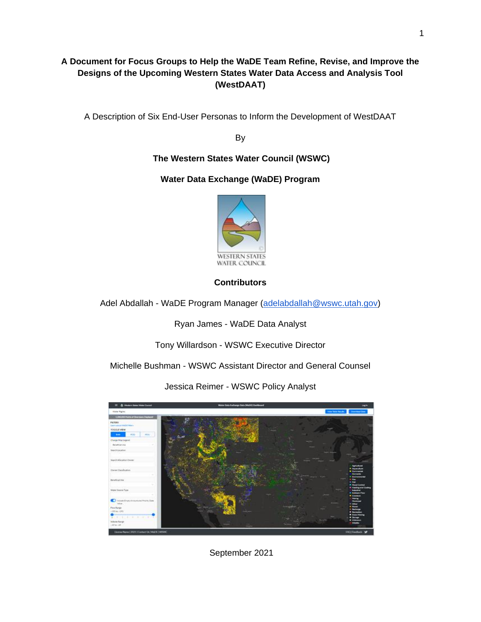# **A Document for Focus Groups to Help the WaDE Team Refine, Revise, and Improve the Designs of the Upcoming Western States Water Data Access and Analysis Tool (WestDAAT)**

A Description of Six End-User Personas to Inform the Development of WestDAAT

By

# **The Western States Water Council (WSWC)**

# **Water Data Exchange (WaDE) Program**



## **Contributors**

Adel Abdallah - WaDE Program Manager [\(adelabdallah@wswc.utah.gov\)](mailto:adelabdallah@wswc.utah.gov)

Ryan James - WaDE Data Analyst

Tony Willardson - WSWC Executive Director

Michelle Bushman - WSWC Assistant Director and General Counsel

Jessica Reimer - WSWC Policy Analyst



September 2021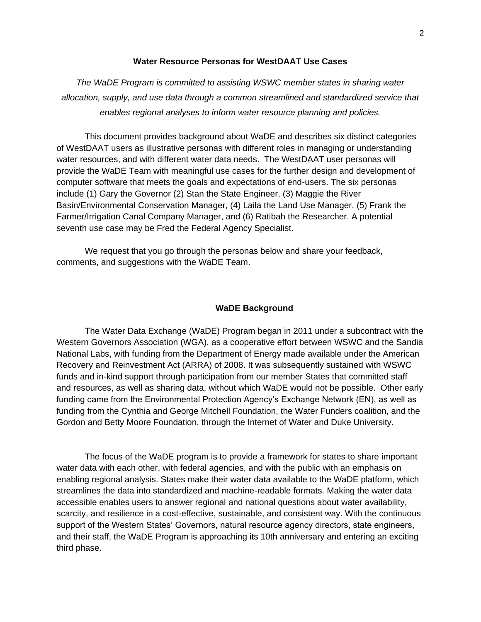#### **Water Resource Personas for WestDAAT Use Cases**

*The WaDE Program is committed to assisting WSWC member states in sharing water allocation, supply, and use data through a common streamlined and standardized service that enables regional analyses to inform water resource planning and policies.*

This document provides background about WaDE and describes six distinct categories of WestDAAT users as illustrative personas with different roles in managing or understanding water resources, and with different water data needs. The WestDAAT user personas will provide the WaDE Team with meaningful use cases for the further design and development of computer software that meets the goals and expectations of end-users. The six personas include (1) Gary the Governor (2) Stan the State Engineer, (3) Maggie the River Basin/Environmental Conservation Manager, (4) Laila the Land Use Manager, (5) Frank the Farmer/Irrigation Canal Company Manager, and (6) Ratibah the Researcher. A potential seventh use case may be Fred the Federal Agency Specialist.

We request that you go through the personas below and share your feedback, comments, and suggestions with the WaDE Team.

### **WaDE Background**

The Water Data Exchange (WaDE) Program began in 2011 under a subcontract with the Western Governors Association (WGA), as a cooperative effort between WSWC and the Sandia National Labs, with funding from the Department of Energy made available under the American Recovery and Reinvestment Act (ARRA) of 2008. It was subsequently sustained with WSWC funds and in-kind support through participation from our member States that committed staff and resources, as well as sharing data, without which WaDE would not be possible. Other early funding came from the Environmental Protection Agency's Exchange Network (EN), as well as funding from the Cynthia and George Mitchell Foundation, the Water Funders coalition, and the Gordon and Betty Moore Foundation, through the Internet of Water and Duke University.

The focus of the WaDE program is to provide a framework for states to share important water data with each other, with federal agencies, and with the public with an emphasis on enabling regional analysis. States make their water data available to the WaDE platform, which streamlines the data into standardized and machine-readable formats. Making the water data accessible enables users to answer regional and national questions about water availability, scarcity, and resilience in a cost-effective, sustainable, and consistent way. With the continuous support of the Western States' Governors, natural resource agency directors, state engineers, and their staff, the WaDE Program is approaching its 10th anniversary and entering an exciting third phase.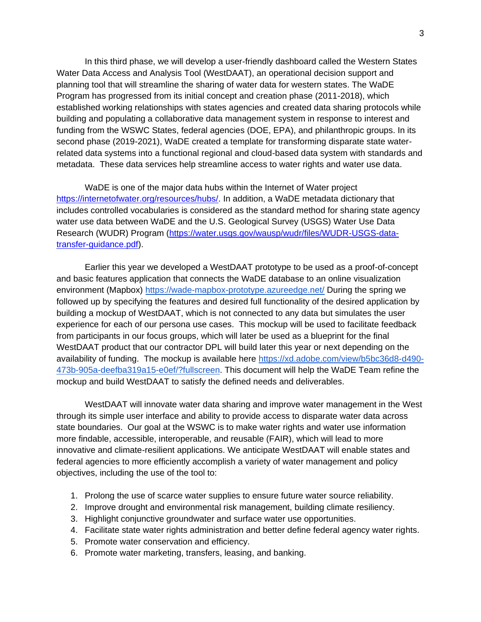In this third phase, we will develop a user-friendly dashboard called the Western States Water Data Access and Analysis Tool (WestDAAT), an operational decision support and planning tool that will streamline the sharing of water data for western states. The WaDE Program has progressed from its initial concept and creation phase (2011-2018), which established working relationships with states agencies and created data sharing protocols while building and populating a collaborative data management system in response to interest and funding from the WSWC States, federal agencies (DOE, EPA), and philanthropic groups. In its second phase (2019-2021), WaDE created a template for transforming disparate state waterrelated data systems into a functional regional and cloud-based data system with standards and metadata. These data services help streamline access to water rights and water use data.

WaDE is one of the major data hubs within the Internet of Water project [https://internetofwater.org/resources/hubs/.](https://internetofwater.org/resources/hubs/) In addition, a WaDE metadata dictionary that includes controlled vocabularies is considered as the standard method for sharing state agency water use data between WaDE and the U.S. Geological Survey (USGS) Water Use Data Research (WUDR) Program [\(https://water.usgs.gov/wausp/wudr/files/WUDR-USGS-data](https://water.usgs.gov/wausp/wudr/files/WUDR-USGS-data-transfer-guidance.pdf)[transfer-guidance.pdf\)](https://water.usgs.gov/wausp/wudr/files/WUDR-USGS-data-transfer-guidance.pdf).

Earlier this year we developed a WestDAAT prototype to be used as a proof-of-concept and basic features application that connects the WaDE database to an online visualization environment (Mapbox[\)](https://wade-mapbox-prototype.azureedge.net/) <https://wade-mapbox-prototype.azureedge.net/> During the spring we followed up by specifying the features and desired full functionality of the desired application by building a mockup of WestDAAT, which is not connected to any data but simulates the user experience for each of our persona use cases. This mockup will be used to facilitate feedback from participants in our focus groups, which will later be used as a blueprint for the final WestDAAT product that our contractor DPL will build later this year or next depending on the availability of funding. The mockup is available here [https://xd.adobe.com/view/b5bc36d8-d490-](https://xd.adobe.com/view/b5bc36d8-d490-473b-905a-deefba319a15-e0ef/?fullscreen.T) [473b-905a-deefba319a15-e0ef/?fullscreen.](https://xd.adobe.com/view/b5bc36d8-d490-473b-905a-deefba319a15-e0ef/?fullscreen.T) This document will help the WaDE Team refine the mockup and build WestDAAT to satisfy the defined needs and deliverables.

WestDAAT will innovate water data sharing and improve water management in the West through its simple user interface and ability to provide access to disparate water data across state boundaries. Our goal at the WSWC is to make water rights and water use information more findable, accessible, interoperable, and reusable (FAIR), which will lead to more innovative and climate-resilient applications. We anticipate WestDAAT will enable states and federal agencies to more efficiently accomplish a variety of water management and policy objectives, including the use of the tool to:

- 1. Prolong the use of scarce water supplies to ensure future water source reliability.
- 2. Improve drought and environmental risk management, building climate resiliency.
- 3. Highlight conjunctive groundwater and surface water use opportunities.
- 4. Facilitate state water rights administration and better define federal agency water rights.
- 5. Promote water conservation and efficiency.
- 6. Promote water marketing, transfers, leasing, and banking.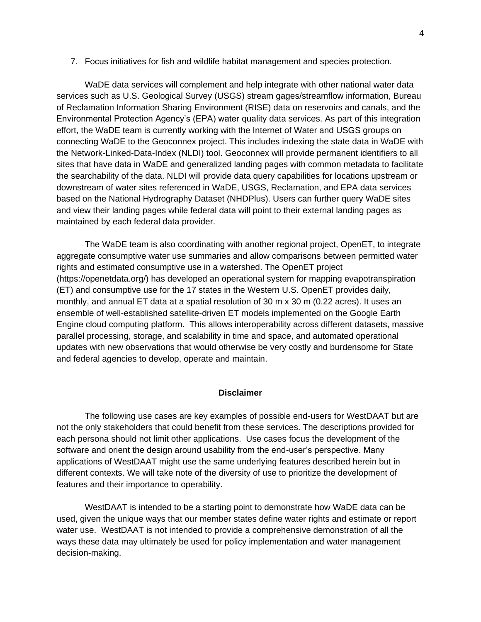7. Focus initiatives for fish and wildlife habitat management and species protection.

WaDE data services will complement and help integrate with other national water data services such as U.S. Geological Survey (USGS) stream gages/streamflow information, Bureau of Reclamation Information Sharing Environment (RISE) data on reservoirs and canals, and the Environmental Protection Agency's (EPA) water quality data services. As part of this integration effort, the WaDE team is currently working with the Internet of Water and USGS groups on connecting WaDE to the Geoconnex project. This includes indexing the state data in WaDE with the Network-Linked-Data-Index (NLDI) tool. Geoconnex will provide permanent identifiers to all sites that have data in WaDE and generalized landing pages with common metadata to facilitate the searchability of the data. NLDI will provide data query capabilities for locations upstream or downstream of water sites referenced in WaDE, USGS, Reclamation, and EPA data services based on the National Hydrography Dataset (NHDPlus). Users can further query WaDE sites and view their landing pages while federal data will point to their external landing pages as maintained by each federal data provider.

The WaDE team is also coordinating with another regional project, OpenET, to integrate aggregate consumptive water use summaries and allow comparisons between permitted water rights and estimated consumptive use in a watershed. The OpenET project (https://openetdata.org/) has developed an operational system for mapping evapotranspiration (ET) and consumptive use for the 17 states in the Western U.S. OpenET provides daily, monthly, and annual ET data at a spatial resolution of 30 m x 30 m (0.22 acres). It uses an ensemble of well-established satellite-driven ET models implemented on the Google Earth Engine cloud computing platform. This allows interoperability across different datasets, massive parallel processing, storage, and scalability in time and space, and automated operational updates with new observations that would otherwise be very costly and burdensome for State and federal agencies to develop, operate and maintain.

### **Disclaimer**

The following use cases are key examples of possible end-users for WestDAAT but are not the only stakeholders that could benefit from these services. The descriptions provided for each persona should not limit other applications. Use cases focus the development of the software and orient the design around usability from the end-user's perspective. Many applications of WestDAAT might use the same underlying features described herein but in different contexts. We will take note of the diversity of use to prioritize the development of features and their importance to operability.

WestDAAT is intended to be a starting point to demonstrate how WaDE data can be used, given the unique ways that our member states define water rights and estimate or report water use. WestDAAT is not intended to provide a comprehensive demonstration of all the ways these data may ultimately be used for policy implementation and water management decision-making.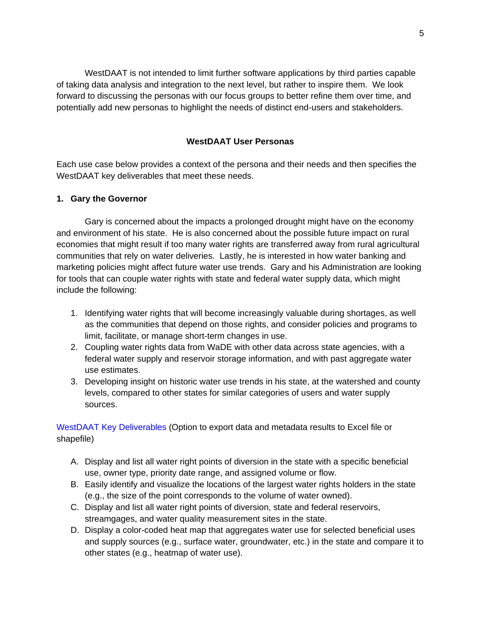WestDAAT is not intended to limit further software applications by third parties capable of taking data analysis and integration to the next level, but rather to inspire them. We look forward to discussing the personas with our focus groups to better refine them over time, and potentially add new personas to highlight the needs of distinct end-users and stakeholders.

### **WestDAAT User Personas**

Each use case below provides a context of the persona and their needs and then specifies the WestDAAT key deliverables that meet these needs.

### **1. Gary the Governor**

Gary is concerned about the impacts a prolonged drought might have on the economy and environment of his state. He is also concerned about the possible future impact on rural economies that might result if too many water rights are transferred away from rural agricultural communities that rely on water deliveries. Lastly, he is interested in how water banking and marketing policies might affect future water use trends. Gary and his Administration are looking for tools that can couple water rights with state and federal water supply data, which might include the following:

- 1. Identifying water rights that will become increasingly valuable during shortages, as well as the communities that depend on those rights, and consider policies and programs to limit, facilitate, or manage short-term changes in use.
- 2. Coupling water rights data from WaDE with other data across state agencies, with a federal water supply and reservoir storage information, and with past aggregate water use estimates.
- 3. Developing insight on historic water use trends in his state, at the watershed and county levels, compared to other states for similar categories of users and water supply sources.

- A. Display and list all water right points of diversion in the state with a specific beneficial use, owner type, priority date range, and assigned volume or flow.
- B. Easily identify and visualize the locations of the largest water rights holders in the state (e.g., the size of the point corresponds to the volume of water owned).
- C. Display and list all water right points of diversion, state and federal reservoirs, streamgages, and water quality measurement sites in the state.
- D. Display a color-coded heat map that aggregates water use for selected beneficial uses and supply sources (e.g., surface water, groundwater, etc.) in the state and compare it to other states (e.g., heatmap of water use).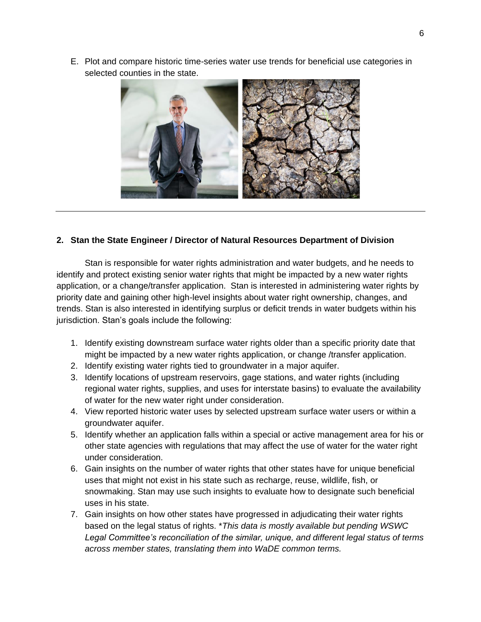E. Plot and compare historic time-series water use trends for beneficial use categories in selected counties in the state.



## **2. Stan the State Engineer / Director of Natural Resources Department of Division**

Stan is responsible for water rights administration and water budgets, and he needs to identify and protect existing senior water rights that might be impacted by a new water rights application, or a change/transfer application. Stan is interested in administering water rights by priority date and gaining other high-level insights about water right ownership, changes, and trends. Stan is also interested in identifying surplus or deficit trends in water budgets within his jurisdiction. Stan's goals include the following:

- 1. Identify existing downstream surface water rights older than a specific priority date that might be impacted by a new water rights application, or change /transfer application.
- 2. Identify existing water rights tied to groundwater in a major aquifer.
- 3. Identify locations of upstream reservoirs, gage stations, and water rights (including regional water rights, supplies, and uses for interstate basins) to evaluate the availability of water for the new water right under consideration.
- 4. View reported historic water uses by selected upstream surface water users or within a groundwater aquifer.
- 5. Identify whether an application falls within a special or active management area for his or other state agencies with regulations that may affect the use of water for the water right under consideration.
- 6. Gain insights on the number of water rights that other states have for unique beneficial uses that might not exist in his state such as recharge, reuse, wildlife, fish, or snowmaking. Stan may use such insights to evaluate how to designate such beneficial uses in his state.
- 7. Gain insights on how other states have progressed in adjudicating their water rights based on the legal status of rights. \**This data is mostly available but pending WSWC Legal Committee's reconciliation of the similar, unique, and different legal status of terms across member states, translating them into WaDE common terms.*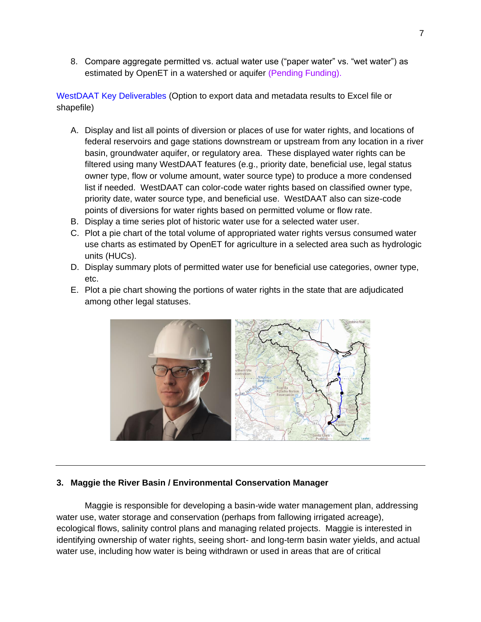8. Compare aggregate permitted vs. actual water use ("paper water" vs. "wet water") as estimated by OpenET in a watershed or aquifer (Pending Funding).

WestDAAT Key Deliverables (Option to export data and metadata results to Excel file or shapefile)

- A. Display and list all points of diversion or places of use for water rights, and locations of federal reservoirs and gage stations downstream or upstream from any location in a river basin, groundwater aquifer, or regulatory area. These displayed water rights can be filtered using many WestDAAT features (e.g., priority date, beneficial use, legal status owner type, flow or volume amount, water source type) to produce a more condensed list if needed. WestDAAT can color-code water rights based on classified owner type, priority date, water source type, and beneficial use. WestDAAT also can size-code points of diversions for water rights based on permitted volume or flow rate.
- B. Display a time series plot of historic water use for a selected water user.
- C. Plot a pie chart of the total volume of appropriated water rights versus consumed water use charts as estimated by OpenET for agriculture in a selected area such as hydrologic units (HUCs).
- D. Display summary plots of permitted water use for beneficial use categories, owner type, etc.
- E. Plot a pie chart showing the portions of water rights in the state that are adjudicated among other legal statuses.



## **3. Maggie the River Basin / Environmental Conservation Manager**

Maggie is responsible for developing a basin-wide water management plan, addressing water use, water storage and conservation (perhaps from fallowing irrigated acreage), ecological flows, salinity control plans and managing related projects. Maggie is interested in identifying ownership of water rights, seeing short- and long-term basin water yields, and actual water use, including how water is being withdrawn or used in areas that are of critical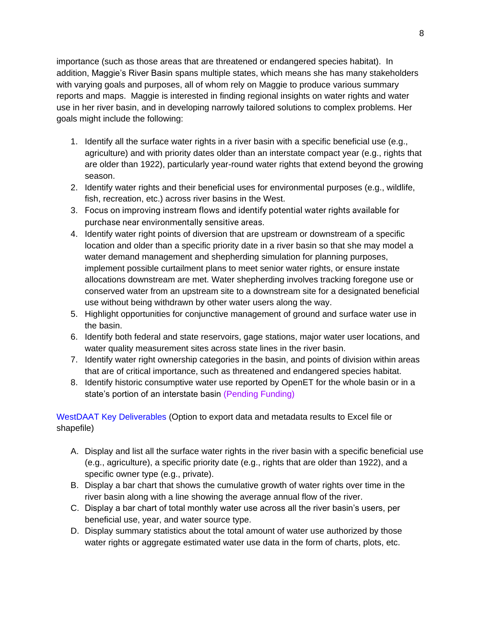importance (such as those areas that are threatened or endangered species habitat). In addition, Maggie's River Basin spans multiple states, which means she has many stakeholders with varying goals and purposes, all of whom rely on Maggie to produce various summary reports and maps. Maggie is interested in finding regional insights on water rights and water use in her river basin, and in developing narrowly tailored solutions to complex problems. Her goals might include the following:

- 1. Identify all the surface water rights in a river basin with a specific beneficial use (e.g., agriculture) and with priority dates older than an interstate compact year (e.g., rights that are older than 1922), particularly year-round water rights that extend beyond the growing season.
- 2. Identify water rights and their beneficial uses for environmental purposes (e.g., wildlife, fish, recreation, etc.) across river basins in the West.
- 3. Focus on improving instream flows and identify potential water rights available for purchase near environmentally sensitive areas.
- 4. Identify water right points of diversion that are upstream or downstream of a specific location and older than a specific priority date in a river basin so that she may model a water demand management and shepherding simulation for planning purposes, implement possible curtailment plans to meet senior water rights, or ensure instate allocations downstream are met. Water shepherding involves tracking foregone use or conserved water from an upstream site to a downstream site for a designated beneficial use without being withdrawn by other water users along the way.
- 5. Highlight opportunities for conjunctive management of ground and surface water use in the basin.
- 6. Identify both federal and state reservoirs, gage stations, major water user locations, and water quality measurement sites across state lines in the river basin.
- 7. Identify water right ownership categories in the basin, and points of division within areas that are of critical importance, such as threatened and endangered species habitat.
- 8. Identify historic consumptive water use reported by OpenET for the whole basin or in a state's portion of an interstate basin (Pending Funding)

- A. Display and list all the surface water rights in the river basin with a specific beneficial use (e.g., agriculture), a specific priority date (e.g., rights that are older than 1922), and a specific owner type (e.g., private).
- B. Display a bar chart that shows the cumulative growth of water rights over time in the river basin along with a line showing the average annual flow of the river.
- C. Display a bar chart of total monthly water use across all the river basin's users, per beneficial use, year, and water source type.
- D. Display summary statistics about the total amount of water use authorized by those water rights or aggregate estimated water use data in the form of charts, plots, etc.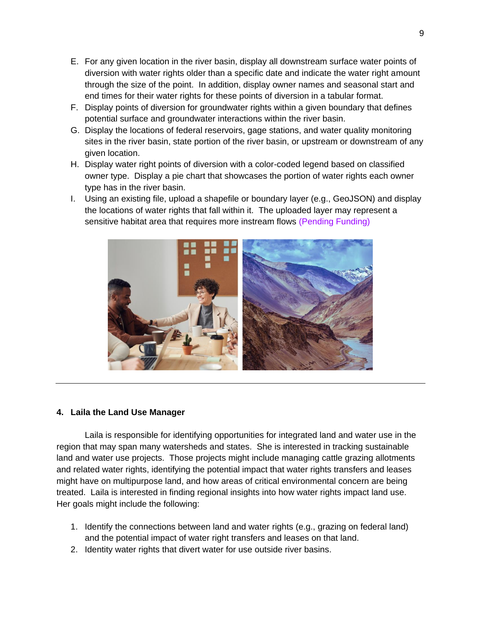- E. For any given location in the river basin, display all downstream surface water points of diversion with water rights older than a specific date and indicate the water right amount through the size of the point. In addition, display owner names and seasonal start and end times for their water rights for these points of diversion in a tabular format.
- F. Display points of diversion for groundwater rights within a given boundary that defines potential surface and groundwater interactions within the river basin.
- G. Display the locations of federal reservoirs, gage stations, and water quality monitoring sites in the river basin, state portion of the river basin, or upstream or downstream of any given location.
- H. Display water right points of diversion with a color-coded legend based on classified owner type. Display a pie chart that showcases the portion of water rights each owner type has in the river basin.
- I. Using an existing file, upload a shapefile or boundary layer (e.g., GeoJSON) and display the locations of water rights that fall within it. The uploaded layer may represent a sensitive habitat area that requires more instream flows (Pending Funding)



## **4. Laila the Land Use Manager**

Laila is responsible for identifying opportunities for integrated land and water use in the region that may span many watersheds and states. She is interested in tracking sustainable land and water use projects. Those projects might include managing cattle grazing allotments and related water rights, identifying the potential impact that water rights transfers and leases might have on multipurpose land, and how areas of critical environmental concern are being treated. Laila is interested in finding regional insights into how water rights impact land use. Her goals might include the following:

- 1. Identify the connections between land and water rights (e.g., grazing on federal land) and the potential impact of water right transfers and leases on that land.
- 2. Identity water rights that divert water for use outside river basins.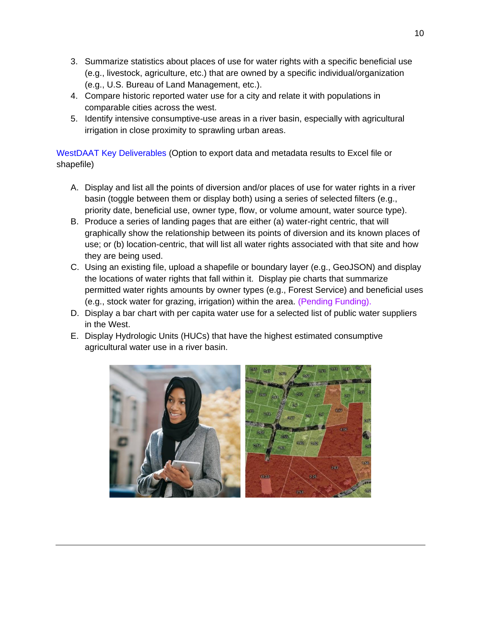- 3. Summarize statistics about places of use for water rights with a specific beneficial use (e.g., livestock, agriculture, etc.) that are owned by a specific individual/organization (e.g., U.S. Bureau of Land Management, etc.).
- 4. Compare historic reported water use for a city and relate it with populations in comparable cities across the west.
- 5. Identify intensive consumptive-use areas in a river basin, especially with agricultural irrigation in close proximity to sprawling urban areas.

- A. Display and list all the points of diversion and/or places of use for water rights in a river basin (toggle between them or display both) using a series of selected filters (e.g., priority date, beneficial use, owner type, flow, or volume amount, water source type).
- B. Produce a series of landing pages that are either (a) water-right centric, that will graphically show the relationship between its points of diversion and its known places of use; or (b) location-centric, that will list all water rights associated with that site and how they are being used.
- C. Using an existing file, upload a shapefile or boundary layer (e.g., GeoJSON) and display the locations of water rights that fall within it. Display pie charts that summarize permitted water rights amounts by owner types (e.g., Forest Service) and beneficial uses (e.g., stock water for grazing, irrigation) within the area. (Pending Funding).
- D. Display a bar chart with per capita water use for a selected list of public water suppliers in the West.
- E. Display Hydrologic Units (HUCs) that have the highest estimated consumptive agricultural water use in a river basin.

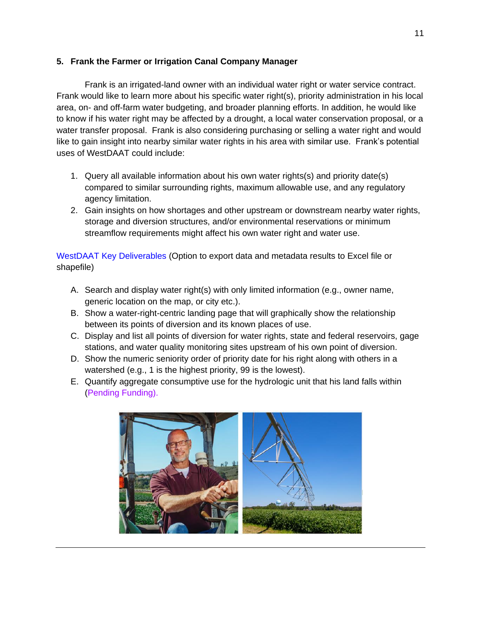## **5. Frank the Farmer or Irrigation Canal Company Manager**

Frank is an irrigated-land owner with an individual water right or water service contract. Frank would like to learn more about his specific water right(s), priority administration in his local area, on- and off-farm water budgeting, and broader planning efforts. In addition, he would like to know if his water right may be affected by a drought, a local water conservation proposal, or a water transfer proposal. Frank is also considering purchasing or selling a water right and would like to gain insight into nearby similar water rights in his area with similar use. Frank's potential uses of WestDAAT could include:

- 1. Query all available information about his own water rights(s) and priority date(s) compared to similar surrounding rights, maximum allowable use, and any regulatory agency limitation.
- 2. Gain insights on how shortages and other upstream or downstream nearby water rights, storage and diversion structures, and/or environmental reservations or minimum streamflow requirements might affect his own water right and water use.

- A. Search and display water right(s) with only limited information (e.g., owner name, generic location on the map, or city etc.).
- B. Show a water-right-centric landing page that will graphically show the relationship between its points of diversion and its known places of use.
- C. Display and list all points of diversion for water rights, state and federal reservoirs, gage stations, and water quality monitoring sites upstream of his own point of diversion.
- D. Show the numeric seniority order of priority date for his right along with others in a watershed (e.g., 1 is the highest priority, 99 is the lowest).
- E. Quantify aggregate consumptive use for the hydrologic unit that his land falls within (Pending Funding).

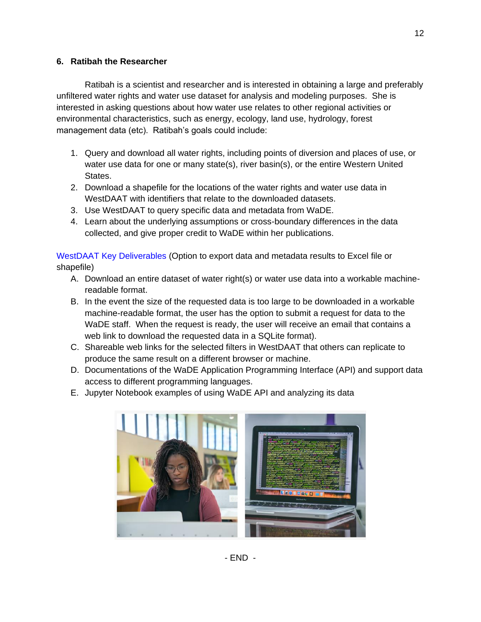## **6. Ratibah the Researcher**

Ratibah is a scientist and researcher and is interested in obtaining a large and preferably unfiltered water rights and water use dataset for analysis and modeling purposes. She is interested in asking questions about how water use relates to other regional activities or environmental characteristics, such as energy, ecology, land use, hydrology, forest management data (etc). Ratibah's goals could include:

- 1. Query and download all water rights, including points of diversion and places of use, or water use data for one or many state(s), river basin(s), or the entire Western United States.
- 2. Download a shapefile for the locations of the water rights and water use data in WestDAAT with identifiers that relate to the downloaded datasets.
- 3. Use WestDAAT to query specific data and metadata from WaDE.
- 4. Learn about the underlying assumptions or cross-boundary differences in the data collected, and give proper credit to WaDE within her publications.

- A. Download an entire dataset of water right(s) or water use data into a workable machinereadable format.
- B. In the event the size of the requested data is too large to be downloaded in a workable machine-readable format, the user has the option to submit a request for data to the WaDE staff. When the request is ready, the user will receive an email that contains a web link to download the requested data in a SQLite format).
- C. Shareable web links for the selected filters in WestDAAT that others can replicate to produce the same result on a different browser or machine.
- D. Documentations of the WaDE Application Programming Interface (API) and support data access to different programming languages.
- E. Jupyter Notebook examples of using WaDE API and analyzing its data